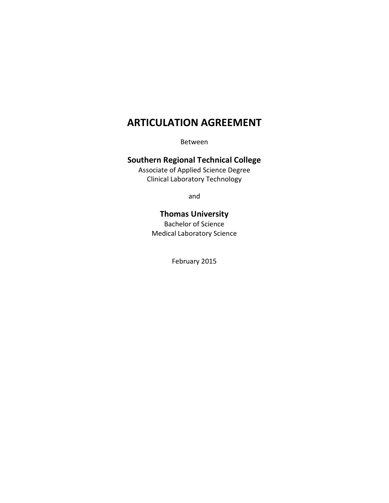# **ARTICULATION AGREEMENT**

Between

# **Southern Regional Technical College**

Associate of Applied Science Degree Clinical Laboratory Technology

and

# **Thomas University**

Bachelor of Science Medical Laboratory Science

February 2015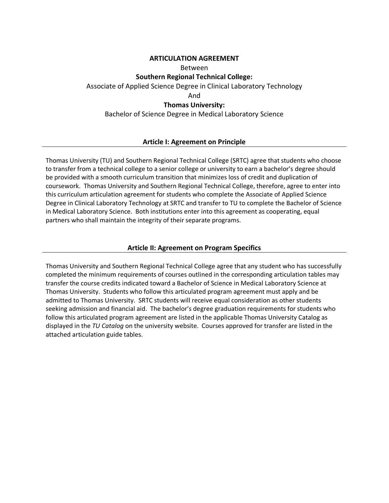#### **ARTICULATION AGREEMENT**

#### Between

#### **Southern Regional Technical College:**

Associate of Applied Science Degree in Clinical Laboratory Technology

And

#### **Thomas University:**

Bachelor of Science Degree in Medical Laboratory Science

#### **Article I: Agreement on Principle**

Thomas University (TU) and Southern Regional Technical College (SRTC) agree that students who choose to transfer from a technical college to a senior college or university to earn a bachelor's degree should be provided with a smooth curriculum transition that minimizes loss of credit and duplication of coursework. Thomas University and Southern Regional Technical College, therefore, agree to enter into this curriculum articulation agreement for students who complete the Associate of Applied Science Degree in Clinical Laboratory Technology at SRTC and transfer to TU to complete the Bachelor of Science in Medical Laboratory Science. Both institutions enter into this agreement as cooperating, equal partners who shall maintain the integrity of their separate programs.

#### **Article II: Agreement on Program Specifics**

Thomas University and Southern Regional Technical College agree that any student who has successfully completed the minimum requirements of courses outlined in the corresponding articulation tables may transfer the course credits indicated toward a Bachelor of Science in Medical Laboratory Science at Thomas University. Students who follow this articulated program agreement must apply and be admitted to Thomas University. SRTC students will receive equal consideration as other students seeking admission and financial aid. The bachelor's degree graduation requirements for students who follow this articulated program agreement are listed in the applicable Thomas University Catalog as displayed in the *TU Catalog* on the university website. Courses approved for transfer are listed in the attached articulation guide tables.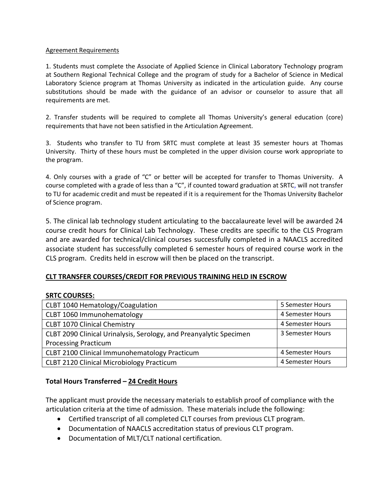#### Agreement Requirements

1. Students must complete the Associate of Applied Science in Clinical Laboratory Technology program at Southern Regional Technical College and the program of study for a Bachelor of Science in Medical Laboratory Science program at Thomas University as indicated in the articulation guide. Any course substitutions should be made with the guidance of an advisor or counselor to assure that all requirements are met.

2. Transfer students will be required to complete all Thomas University's general education (core) requirements that have not been satisfied in the Articulation Agreement.

3. Students who transfer to TU from SRTC must complete at least 35 semester hours at Thomas University. Thirty of these hours must be completed in the upper division course work appropriate to the program.

4. Only courses with a grade of "C" or better will be accepted for transfer to Thomas University. A course completed with a grade of less than a "C", if counted toward graduation at SRTC, will not transfer to TU for academic credit and must be repeated if it is a requirement for the Thomas University Bachelor of Science program.

5. The clinical lab technology student articulating to the baccalaureate level will be awarded 24 course credit hours for Clinical Lab Technology. These credits are specific to the CLS Program and are awarded for technical/clinical courses successfully completed in a NAACLS accredited associate student has successfully completed 6 semester hours of required course work in the CLS program. Credits held in escrow will then be placed on the transcript.

#### **CLT TRANSFER COURSES/CREDIT FOR PREVIOUS TRAINING HELD IN ESCROW**

# **SRTC COURSES:**

| CLBT 1040 Hematology/Coagulation                                   | 5 Semester Hours |
|--------------------------------------------------------------------|------------------|
| CLBT 1060 Immunohematology                                         | 4 Semester Hours |
| <b>CLBT 1070 Clinical Chemistry</b>                                | 4 Semester Hours |
| CLBT 2090 Clinical Urinalysis, Serology, and Preanyalytic Specimen | 3 Semester Hours |
| <b>Processing Practicum</b>                                        |                  |
| CLBT 2100 Clinical Immunohematology Practicum                      | 4 Semester Hours |
| <b>CLBT 2120 Clinical Microbiology Practicum</b>                   | 4 Semester Hours |

# **Total Hours Transferred – 24 Credit Hours**

The applicant must provide the necessary materials to establish proof of compliance with the articulation criteria at the time of admission. These materials include the following:

- Certified transcript of all completed CLT courses from previous CLT program.
- Documentation of NAACLS accreditation status of previous CLT program.
- Documentation of MLT/CLT national certification.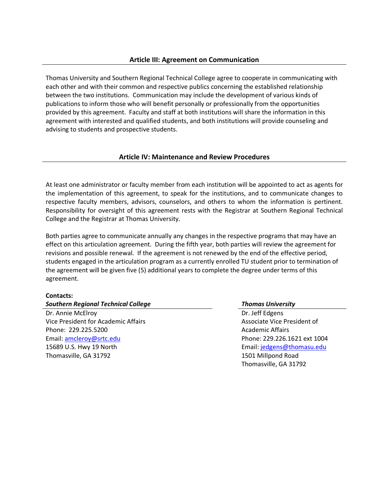#### **Article III: Agreement on Communication**

Thomas University and Southern Regional Technical College agree to cooperate in communicating with each other and with their common and respective publics concerning the established relationship between the two institutions. Communication may include the development of various kinds of publications to inform those who will benefit personally or professionally from the opportunities provided by this agreement. Faculty and staff at both institutions will share the information in this agreement with interested and qualified students, and both institutions will provide counseling and advising to students and prospective students.

#### **Article IV: Maintenance and Review Procedures**

At least one administrator or faculty member from each institution will be appointed to act as agents for the implementation of this agreement, to speak for the institutions, and to communicate changes to respective faculty members, advisors, counselors, and others to whom the information is pertinent. Responsibility for oversight of this agreement rests with the Registrar at Southern Regional Technical College and the Registrar at Thomas University.

Both parties agree to communicate annually any changes in the respective programs that may have an effect on this articulation agreement. During the fifth year, both parties will review the agreement for revisions and possible renewal. If the agreement is not renewed by the end of the effective period, students engaged in the articulation program as a currently enrolled TU student prior to termination of the agreement will be given five (5) additional years to complete the degree under terms of this agreement.

#### **Contacts:**

#### *Southern Regional Technical College Thomas University*

Dr. Annie McElroy Vice President for Academic Affairs Phone: 229.225.5200 Email: [amcleroy@srtc.edu](mailto:amcleroy@srtc.edu) 15689 U.S. Hwy 19 North Thomasville, GA 31792

Dr. Jeff Edgens Associate Vice President of Academic Affairs Phone: 229.226.1621 ext 1004 Email: [jedgens@thomasu.edu](mailto:jedgens@thomasu.edu) 1501 Millpond Road Thomasville, GA 31792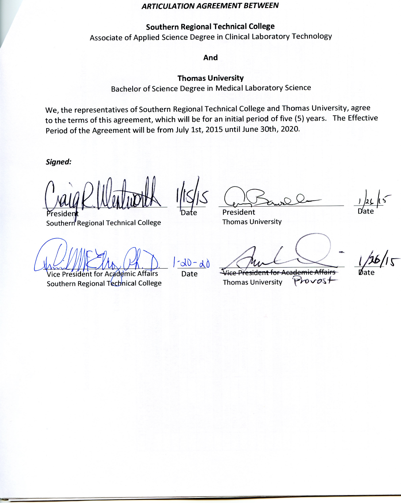#### **ARTICULATION AGREEMENT BETWEEN**

# **Southern Regional Technical College**

Associate of Applied Science Degree in Clinical Laboratory Technology

And

# **Thomas University**

Bachelor of Science Degree in Medical Laboratory Science

We, the representatives of Southern Regional Technical College and Thomas University, agree to the terms of this agreement, which will be for an initial period of five (5) years. The Effective Period of the Agreement will be from July 1st, 2015 until June 30th, 2020.

Signed:

Southern Regional Technical College

Vice President for Academic Affairs Southern Regional Technical College

 $-dD - d0$ Date

President **Thomas University** 

Vice President for Academic Affairs  $Provost$ **Thomas University**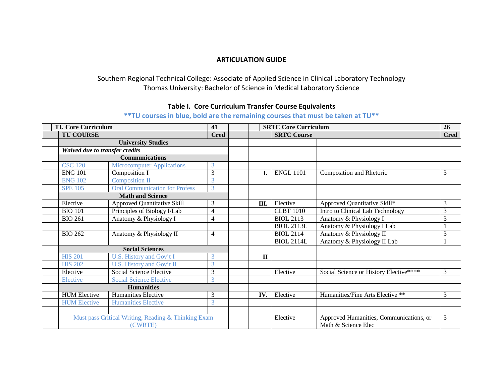### **ARTICULATION GUIDE**

# Southern Regional Technical College: Associate of Applied Science in Clinical Laboratory Technology Thomas University: Bachelor of Science in Medical Laboratory Science

# **Table I. Core Curriculum Transfer Course Equivalents**

| <b>TU Core Curriculum</b>       |                                                     |  |  | <b>SRTC Core Curriculum</b> |  | <b>26</b>   |
|---------------------------------|-----------------------------------------------------|--|--|-----------------------------|--|-------------|
| <b>TU COURSE</b><br><b>Cred</b> |                                                     |  |  | <b>SRTC Course</b>          |  | <b>Cred</b> |
|                                 | <b>University Studies</b>                           |  |  |                             |  |             |
|                                 | Waived due to transfer credits                      |  |  |                             |  |             |
|                                 | Communications                                      |  |  |                             |  |             |
|                                 | <b>CSC 120</b><br><b>Microcomputer Applications</b> |  |  |                             |  |             |

# **\*\*TU courses in blue, bold are the remaining courses that must be taken at TU\*\***

|                                | <b>University Studies</b>                                      |                |              |                   |                                                                |   |
|--------------------------------|----------------------------------------------------------------|----------------|--------------|-------------------|----------------------------------------------------------------|---|
| Waived due to transfer credits |                                                                |                |              |                   |                                                                |   |
|                                | <b>Communications</b>                                          |                |              |                   |                                                                |   |
| <b>CSC</b> 120                 | <b>Microcomputer Applications</b>                              | 3              |              |                   |                                                                |   |
| <b>ENG 101</b>                 | Composition I                                                  | 3              | I.           | <b>ENGL 1101</b>  | Composition and Rhetoric                                       | 3 |
| <b>ENG 102</b>                 | Composition II                                                 | 3              |              |                   |                                                                |   |
| <b>SPE 105</b>                 | <b>Oral Communication for Profess</b>                          | 3              |              |                   |                                                                |   |
|                                | <b>Math and Science</b>                                        |                |              |                   |                                                                |   |
| Elective                       | <b>Approved Quantitative Skill</b>                             | 3              | Ш.           | Elective          | Approved Quantitative Skill*                                   | 3 |
| <b>BIO 101</b>                 | Principles of Biology I/Lab                                    | 4              |              | <b>CLBT</b> 1010  | Intro to Clinical Lab Technology                               | 3 |
| <b>BIO 261</b>                 | Anatomy & Physiology I                                         | 4              |              | <b>BIOL 2113</b>  | Anatomy & Physiology I                                         | 3 |
|                                |                                                                |                |              | <b>BIOL 2113L</b> | Anatomy & Physiology I Lab                                     |   |
| <b>BIO 262</b>                 | Anatomy & Physiology II                                        | $\overline{4}$ |              | <b>BIOL 2114</b>  | Anatomy & Physiology II                                        | 3 |
|                                |                                                                |                |              | <b>BIOL 2114L</b> | Anatomy & Physiology II Lab                                    |   |
|                                | <b>Social Sciences</b>                                         |                |              |                   |                                                                |   |
| <b>HIS 201</b>                 | U.S. History and Gov't I                                       | 3              | $\mathbf{I}$ |                   |                                                                |   |
| <b>HIS 202</b>                 | U.S. History and Gov't II                                      | 3              |              |                   |                                                                |   |
| Elective                       | Social Science Elective                                        | 3              |              | Elective          | Social Science or History Elective****                         | 3 |
| Elective                       | <b>Social Science Elective</b>                                 | 3              |              |                   |                                                                |   |
|                                | <b>Humanities</b>                                              |                |              |                   |                                                                |   |
| <b>HUM Elective</b>            | Humanities Elective                                            | 3              | IV.          | Elective          | Humanities/Fine Arts Elective **                               | 3 |
| <b>HUM Elective</b>            | <b>Humanities Elective</b>                                     | 3              |              |                   |                                                                |   |
|                                |                                                                |                |              |                   |                                                                |   |
|                                | Must pass Critical Writing, Reading & Thinking Exam<br>(CWRTE) |                |              | Elective          | Approved Humanities, Communications, or<br>Math & Science Elec | 3 |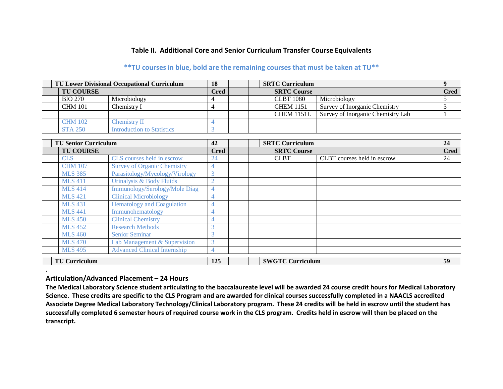# **Table II. Additional Core and Senior Curriculum Transfer Course Equivalents**

# **\*\*TU courses in blue, bold are the remaining courses that must be taken at TU\*\***

| <b>TU Lower Divisional Occupational Curriculum</b> |                            |      |  | <b>SRTC Curriculum</b> |                                   |             |
|----------------------------------------------------|----------------------------|------|--|------------------------|-----------------------------------|-------------|
| <b>TU COURSE</b>                                   |                            | Cred |  | <b>SRTC Course</b>     |                                   | <b>Cred</b> |
| <b>BIO 270</b>                                     | Microbiology               |      |  | <b>CLBT</b> 1080       | Microbiology                      |             |
| <b>CHM 101</b>                                     | Chemistrv I                |      |  | <b>CHEM 1151</b>       | Survey of Inorganic Chemistry     |             |
|                                                    |                            |      |  | <b>CHEM 1151L</b>      | Survey of Inorganic Chemistry Lab |             |
| <b>CHM 102</b>                                     | $C$ hemistrv $\rm II$      |      |  |                        |                                   |             |
| <b>STA 250</b>                                     | Introduction to Statistics |      |  |                        |                                   |             |

| <b>TU Senior Curriculum</b> |                                      | 42             | <b>SRTC Curriculum</b> |                         |                             | 24          |
|-----------------------------|--------------------------------------|----------------|------------------------|-------------------------|-----------------------------|-------------|
| <b>TU COURSE</b>            |                                      | <b>Cred</b>    |                        | <b>SRTC Course</b>      |                             | <b>Cred</b> |
| <b>CLS</b>                  | CLS courses held in escrow           | 24             |                        | <b>CLBT</b>             | CLBT courses held in escrow | 24          |
| <b>CHM 107</b>              | <b>Survey of Organic Chemistry</b>   | 4              |                        |                         |                             |             |
| <b>MLS 385</b>              | Parasitology/Mycology/Virology       | $\overline{3}$ |                        |                         |                             |             |
| <b>MLS 411</b>              | Urinalysis & Body Fluids             | $\overline{2}$ |                        |                         |                             |             |
| <b>MLS 414</b>              | <b>Immunology/Serology/Mole Diag</b> | $\overline{4}$ |                        |                         |                             |             |
| <b>MLS 421</b>              | <b>Clinical Microbiology</b>         | 4              |                        |                         |                             |             |
| <b>MLS 431</b>              | <b>Hematology and Coagulation</b>    | 4              |                        |                         |                             |             |
| <b>MLS 441</b>              | Immunohematology                     | 4              |                        |                         |                             |             |
| <b>MLS</b> 450              | <b>Clinical Chemistry</b>            | 4              |                        |                         |                             |             |
| <b>MLS</b> 452              | <b>Research Methods</b>              | 3              |                        |                         |                             |             |
| <b>MLS 460</b>              | <b>Senior Seminar</b>                | 3              |                        |                         |                             |             |
| <b>MLS</b> 470              | Lab Management & Supervision         | 3              |                        |                         |                             |             |
| <b>MLS</b> 495              | <b>Advanced Clinical Internship</b>  | 4              |                        |                         |                             |             |
| <b>TU Curriculum</b>        |                                      | 125            |                        | <b>SWGTC Curriculum</b> |                             | 59          |

#### **Articulation/Advanced Placement – 24 Hours**

.

**The Medical Laboratory Science student articulating to the baccalaureate level will be awarded 24 course credit hours for Medical Laboratory Science. These credits are specific to the CLS Program and are awarded for clinical courses successfully completed in a NAACLS accredited Associate Degree Medical Laboratory Technology/Clinical Laboratory program. These 24 credits will be held in escrow until the student has successfully completed 6 semester hours of required course work in the CLS program. Credits held in escrow will then be placed on the transcript.**